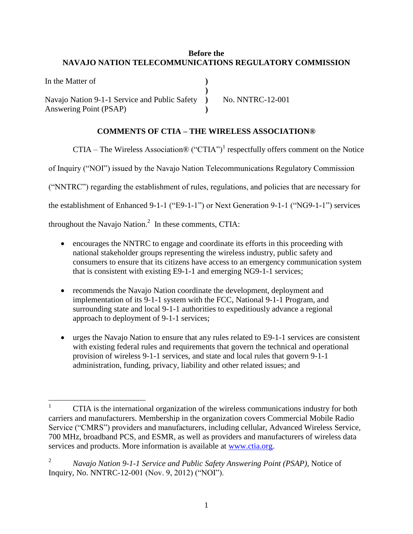## **Before the NAVAJO NATION TELECOMMUNICATIONS REGULATORY COMMISSION**

In the Matter of Navajo Nation 9-1-1 Service and Public Safety Answering Point (PSAP) **) ) ) )** No. NNTRC-12-001

## **COMMENTS OF CTIA – THE WIRELESS ASSOCIATION®**

CTIA – The Wireless Association® ("CTIA")<sup>1</sup> respectfully offers comment on the Notice

of Inquiry ("NOI") issued by the Navajo Nation Telecommunications Regulatory Commission

("NNTRC") regarding the establishment of rules, regulations, and policies that are necessary for

the establishment of Enhanced 9-1-1 ("E9-1-1") or Next Generation 9-1-1 ("NG9-1-1") services

throughout the Navajo Nation.<sup>2</sup> In these comments, CTIA:

- encourages the NNTRC to engage and coordinate its efforts in this proceeding with national stakeholder groups representing the wireless industry, public safety and consumers to ensure that its citizens have access to an emergency communication system that is consistent with existing E9-1-1 and emerging NG9-1-1 services;
- recommends the Navajo Nation coordinate the development, deployment and implementation of its 9-1-1 system with the FCC, National 9-1-1 Program, and surrounding state and local 9-1-1 authorities to expeditiously advance a regional approach to deployment of 9-1-1 services;
- urges the Navajo Nation to ensure that any rules related to E9-1-1 services are consistent with existing federal rules and requirements that govern the technical and operational provision of wireless 9-1-1 services, and state and local rules that govern 9-1-1 administration, funding, privacy, liability and other related issues; and

 $\mathbf{1}$ <sup>1</sup> CTIA is the international organization of the wireless communications industry for both carriers and manufacturers. Membership in the organization covers Commercial Mobile Radio Service ("CMRS") providers and manufacturers, including cellular, Advanced Wireless Service, 700 MHz, broadband PCS, and ESMR, as well as providers and manufacturers of wireless data services and products. More information is available at [www.ctia.org.](http://www.ctia.org/)

<sup>2</sup> *Navajo Nation 9-1-1 Service and Public Safety Answering Point (PSAP)*, Notice of Inquiry, No. NNTRC-12-001 (Nov. 9, 2012) ("NOI").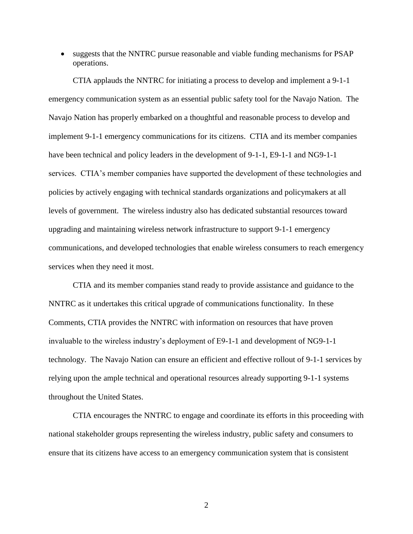suggests that the NNTRC pursue reasonable and viable funding mechanisms for PSAP operations.

CTIA applauds the NNTRC for initiating a process to develop and implement a 9-1-1 emergency communication system as an essential public safety tool for the Navajo Nation. The Navajo Nation has properly embarked on a thoughtful and reasonable process to develop and implement 9-1-1 emergency communications for its citizens. CTIA and its member companies have been technical and policy leaders in the development of 9-1-1, E9-1-1 and NG9-1-1 services. CTIA's member companies have supported the development of these technologies and policies by actively engaging with technical standards organizations and policymakers at all levels of government. The wireless industry also has dedicated substantial resources toward upgrading and maintaining wireless network infrastructure to support 9-1-1 emergency communications, and developed technologies that enable wireless consumers to reach emergency services when they need it most.

CTIA and its member companies stand ready to provide assistance and guidance to the NNTRC as it undertakes this critical upgrade of communications functionality. In these Comments, CTIA provides the NNTRC with information on resources that have proven invaluable to the wireless industry's deployment of E9-1-1 and development of NG9-1-1 technology. The Navajo Nation can ensure an efficient and effective rollout of 9-1-1 services by relying upon the ample technical and operational resources already supporting 9-1-1 systems throughout the United States.

CTIA encourages the NNTRC to engage and coordinate its efforts in this proceeding with national stakeholder groups representing the wireless industry, public safety and consumers to ensure that its citizens have access to an emergency communication system that is consistent

2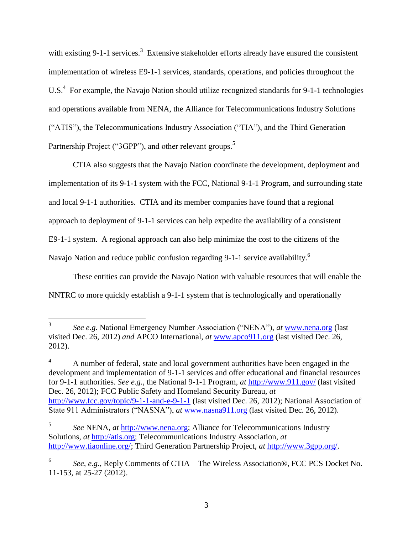with existing 9-1-1 services.<sup>3</sup> Extensive stakeholder efforts already have ensured the consistent implementation of wireless E9-1-1 services, standards, operations, and policies throughout the U.S.<sup>4</sup> For example, the Navajo Nation should utilize recognized standards for 9-1-1 technologies and operations available from NENA, the Alliance for Telecommunications Industry Solutions ("ATIS"), the Telecommunications Industry Association ("TIA"), and the Third Generation Partnership Project ("3GPP"), and other relevant groups.<sup>5</sup>

CTIA also suggests that the Navajo Nation coordinate the development, deployment and implementation of its 9-1-1 system with the FCC, National 9-1-1 Program, and surrounding state and local 9-1-1 authorities. CTIA and its member companies have found that a regional approach to deployment of 9-1-1 services can help expedite the availability of a consistent E9-1-1 system. A regional approach can also help minimize the cost to the citizens of the Navajo Nation and reduce public confusion regarding 9-1-1 service availability.<sup>6</sup>

These entities can provide the Navajo Nation with valuable resources that will enable the NNTRC to more quickly establish a 9-1-1 system that is technologically and operationally

 $\overline{a}$ 

<sup>4</sup> A number of federal, state and local government authorities have been engaged in the development and implementation of 9-1-1 services and offer educational and financial resources for 9-1-1 authorities. *See e.g.*, the National 9-1-1 Program, *at* <http://www.911.gov/> (last visited Dec. 26, 2012); FCC Public Safety and Homeland Security Bureau, *at* <http://www.fcc.gov/topic/9-1-1-and-e-9-1-1> (last visited Dec. 26, 2012); National Association of State 911 Administrators ("NASNA"), *at* [www.nasna911.org](http://www.nasna911.org/) (last visited Dec. 26, 2012).

<sup>3</sup> *See e.g.* National Emergency Number Association ("NENA"), *at* [www.nena.org](http://www.nena.org/) (last visited Dec. 26, 2012) *and* APCO International, *at* [www.apco911.org](http://www.apco911.org/) (last visited Dec. 26, 2012).

<sup>5</sup> *See* NENA, *at* [http://www.nena.org;](http://www.nena.org/) Alliance for Telecommunications Industry Solutions, *at* [http://atis.org;](http://atis.org/) Telecommunications Industry Association, *at* [http://www.tiaonline.org/;](http://www.tiaonline.org/) Third Generation Partnership Project, *at* [http://www.3gpp.org/.](http://www.3gpp.org/)

<sup>6</sup> *See, e.g.*, Reply Comments of CTIA – The Wireless Association®, FCC PCS Docket No. 11-153, at 25-27 (2012).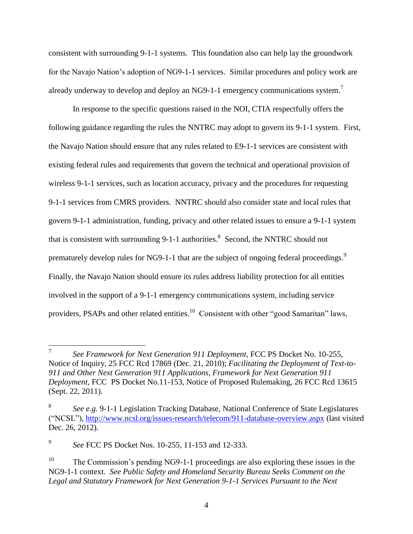consistent with surrounding 9-1-1 systems. This foundation also can help lay the groundwork for the Navajo Nation's adoption of NG9-1-1 services. Similar procedures and policy work are already underway to develop and deploy an NG9-1-1 emergency communications system.<sup>7</sup>

In response to the specific questions raised in the NOI, CTIA respectfully offers the following guidance regarding the rules the NNTRC may adopt to govern its 9-1-1 system. First, the Navajo Nation should ensure that any rules related to E9-1-1 services are consistent with existing federal rules and requirements that govern the technical and operational provision of wireless 9-1-1 services, such as location accuracy, privacy and the procedures for requesting 9-1-1 services from CMRS providers. NNTRC should also consider state and local rules that govern 9-1-1 administration, funding, privacy and other related issues to ensure a 9-1-1 system that is consistent with surrounding  $9-1-1$  authorities.<sup>8</sup> Second, the NNTRC should not prematurely develop rules for NG9-1-1 that are the subject of ongoing federal proceedings.<sup>9</sup> Finally, the Navajo Nation should ensure its rules address liability protection for all entities involved in the support of a 9-1-1 emergency communications system, including service providers, PSAPs and other related entities.<sup>10</sup> Consistent with other "good Samaritan" laws,

 $\overline{a}$ 

<sup>7</sup> *See Framework for Next Generation 911 Deployment*, FCC PS Docket No. 10-255, Notice of Inquiry, 25 FCC Rcd 17869 (Dec. 21, 2010); *Facilitating the Deployment of Text-to-911 and Other Next Generation 911 Applications, Framework for Next Generation 911 Deployment*, FCC PS Docket No.11-153, Notice of Proposed Rulemaking, 26 FCC Rcd 13615 (Sept. 22, 2011).

<sup>8</sup> *See e.g.* 9-1-1 Legislation Tracking Database, National Conference of State Legislatures ("NCSL"),<http://www.ncsl.org/issues-research/telecom/911-database-overview.aspx> (last visited Dec. 26, 2012).

<sup>9</sup> *See* FCC PS Docket Nos. 10-255, 11-153 and 12-333.

<sup>&</sup>lt;sup>10</sup> The Commission's pending NG9-1-1 proceedings are also exploring these issues in the NG9-1-1 context. *See Public Safety and Homeland Security Bureau Seeks Comment on the Legal and Statutory Framework for Next Generation 9-1-1 Services Pursuant to the Next*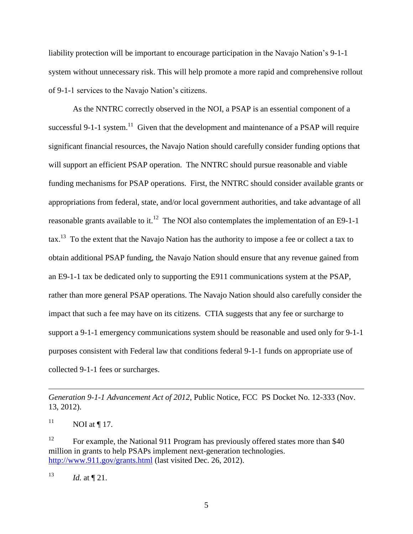liability protection will be important to encourage participation in the Navajo Nation's 9-1-1 system without unnecessary risk. This will help promote a more rapid and comprehensive rollout of 9-1-1 services to the Navajo Nation's citizens.

As the NNTRC correctly observed in the NOI, a PSAP is an essential component of a successful 9-1-1 system.<sup>11</sup> Given that the development and maintenance of a PSAP will require significant financial resources, the Navajo Nation should carefully consider funding options that will support an efficient PSAP operation. The NNTRC should pursue reasonable and viable funding mechanisms for PSAP operations. First, the NNTRC should consider available grants or appropriations from federal, state, and/or local government authorities, and take advantage of all reasonable grants available to it.<sup>12</sup> The NOI also contemplates the implementation of an E9-1-1  $\text{tax.}^{13}$  To the extent that the Navajo Nation has the authority to impose a fee or collect a tax to obtain additional PSAP funding, the Navajo Nation should ensure that any revenue gained from an E9-1-1 tax be dedicated only to supporting the E911 communications system at the PSAP, rather than more general PSAP operations. The Navajo Nation should also carefully consider the impact that such a fee may have on its citizens. CTIA suggests that any fee or surcharge to support a 9-1-1 emergency communications system should be reasonable and used only for 9-1-1 purposes consistent with Federal law that conditions federal 9-1-1 funds on appropriate use of collected 9-1-1 fees or surcharges.

<sup>11</sup> NOI at ¶ 17.

 $\overline{a}$ 

<sup>12</sup> For example, the National 911 Program has previously offered states more than \$40 million in grants to help PSAPs implement next-generation technologies. <http://www.911.gov/grants.html> (last visited Dec. 26, 2012).

<sup>13</sup> *Id.* at  $\P$  21.

*Generation 9-1-1 Advancement Act of 2012*, Public Notice, FCC PS Docket No. 12-333 (Nov. 13, 2012).